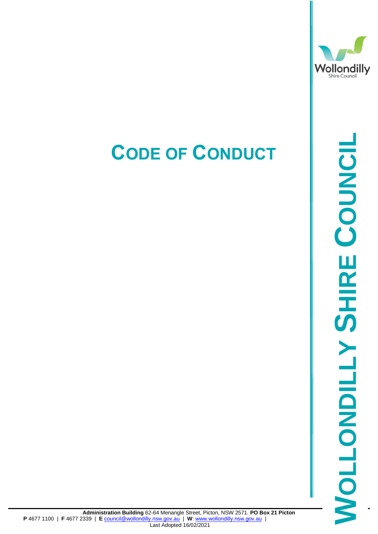

# 2-64 Menangle Street, Picton, NSW 2571. PO Box 21 Picton<br>
<u>Chast Adopted 16/02/2021</u><br>Last Adopted 16/02/2021 **SHIRE COUNCIL**

## **CODE OF CONDUCT**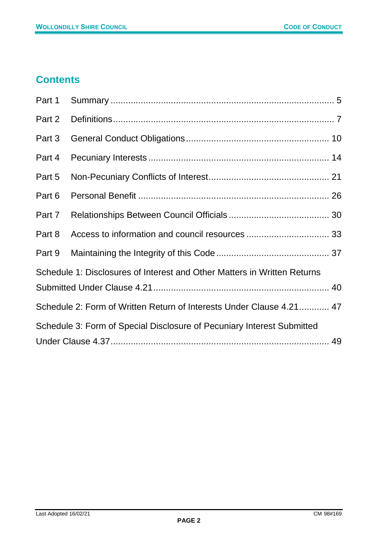#### **Contents**

| Part 1                                                                   |  |  |  |
|--------------------------------------------------------------------------|--|--|--|
| Part 2                                                                   |  |  |  |
| Part 3                                                                   |  |  |  |
| Part 4                                                                   |  |  |  |
| Part 5                                                                   |  |  |  |
| Part 6                                                                   |  |  |  |
| Part 7                                                                   |  |  |  |
| Part 8                                                                   |  |  |  |
| Part 9                                                                   |  |  |  |
| Schedule 1: Disclosures of Interest and Other Matters in Written Returns |  |  |  |
|                                                                          |  |  |  |
| Schedule 2: Form of Written Return of Interests Under Clause 4.21 47     |  |  |  |
| Schedule 3: Form of Special Disclosure of Pecuniary Interest Submitted   |  |  |  |
|                                                                          |  |  |  |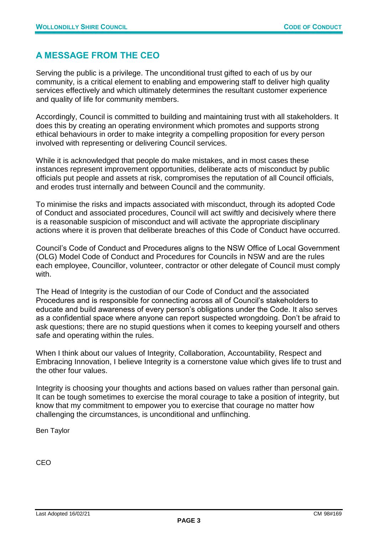#### **A MESSAGE FROM THE CEO**

Serving the public is a privilege. The unconditional trust gifted to each of us by our community, is a critical element to enabling and empowering staff to deliver high quality services effectively and which ultimately determines the resultant customer experience and quality of life for community members.

Accordingly, Council is committed to building and maintaining trust with all stakeholders. It does this by creating an operating environment which promotes and supports strong ethical behaviours in order to make integrity a compelling proposition for every person involved with representing or delivering Council services.

While it is acknowledged that people do make mistakes, and in most cases these instances represent improvement opportunities, deliberate acts of misconduct by public officials put people and assets at risk, compromises the reputation of all Council officials, and erodes trust internally and between Council and the community.

To minimise the risks and impacts associated with misconduct, through its adopted Code of Conduct and associated procedures, Council will act swiftly and decisively where there is a reasonable suspicion of misconduct and will activate the appropriate disciplinary actions where it is proven that deliberate breaches of this Code of Conduct have occurred.

Council's Code of Conduct and Procedures aligns to the NSW Office of Local Government (OLG) Model Code of Conduct and Procedures for Councils in NSW and are the rules each employee, Councillor, volunteer, contractor or other delegate of Council must comply with.

The Head of Integrity is the custodian of our Code of Conduct and the associated Procedures and is responsible for connecting across all of Council's stakeholders to educate and build awareness of every person's obligations under the Code. It also serves as a confidential space where anyone can report suspected wrongdoing. Don't be afraid to ask questions; there are no stupid questions when it comes to keeping yourself and others safe and operating within the rules.

When I think about our values of Integrity, Collaboration, Accountability, Respect and Embracing Innovation, I believe Integrity is a cornerstone value which gives life to trust and the other four values.

Integrity is choosing your thoughts and actions based on values rather than personal gain. It can be tough sometimes to exercise the moral courage to take a position of integrity, but know that my commitment to empower you to exercise that courage no matter how challenging the circumstances, is unconditional and unflinching.

Ben Taylor

CEO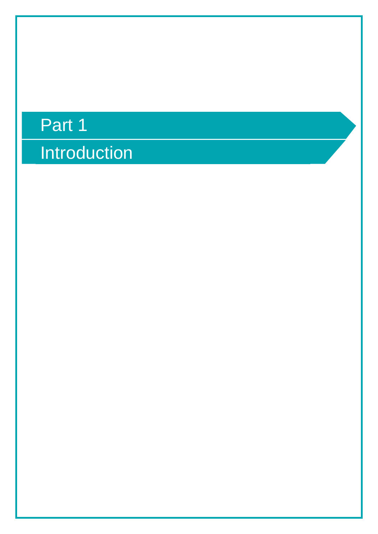# **Introduction** Part 1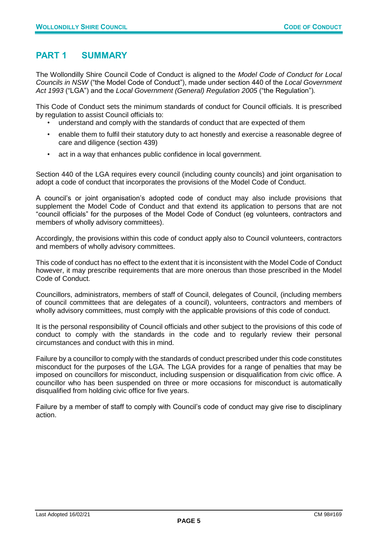#### <span id="page-4-0"></span>**PART 1 SUMMARY**

The Wollondilly Shire Council Code of Conduct is aligned to the *Model Code of Conduct for Local Councils in NSW* ("the Model Code of Conduct"), made under section 440 of the *Local Government Act 1993* ("LGA") and the *Local Government (General) Regulation 2005* ("the Regulation")*.*

This Code of Conduct sets the minimum standards of conduct for Council officials. It is prescribed by regulation to assist Council officials to:

- understand and comply with the standards of conduct that are expected of them
- enable them to fulfil their statutory duty to act honestly and exercise a reasonable degree of care and diligence (section 439)
- act in a way that enhances public confidence in local government.

Section 440 of the LGA requires every council (including county councils) and joint organisation to adopt a code of conduct that incorporates the provisions of the Model Code of Conduct.

A council's or joint organisation's adopted code of conduct may also include provisions that supplement the Model Code of Conduct and that extend its application to persons that are not "council officials" for the purposes of the Model Code of Conduct (eg volunteers, contractors and members of wholly advisory committees).

Accordingly, the provisions within this code of conduct apply also to Council volunteers, contractors and members of wholly advisory committees.

This code of conduct has no effect to the extent that it is inconsistent with the Model Code of Conduct however, it may prescribe requirements that are more onerous than those prescribed in the Model Code of Conduct.

Councillors, administrators, members of staff of Council, delegates of Council, (including members of council committees that are delegates of a council), volunteers, contractors and members of wholly advisory committees, must comply with the applicable provisions of this code of conduct.

It is the personal responsibility of Council officials and other subject to the provisions of this code of conduct to comply with the standards in the code and to regularly review their personal circumstances and conduct with this in mind.

Failure by a councillor to comply with the standards of conduct prescribed under this code constitutes misconduct for the purposes of the LGA. The LGA provides for a range of penalties that may be imposed on councillors for misconduct, including suspension or disqualification from civic office. A councillor who has been suspended on three or more occasions for misconduct is automatically disqualified from holding civic office for five years.

Failure by a member of staff to comply with Council's code of conduct may give rise to disciplinary action.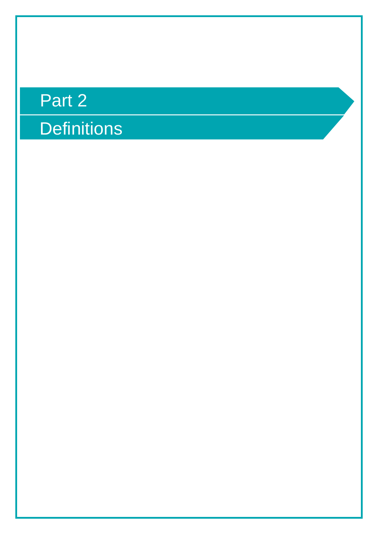# Part 2

## **Definitions**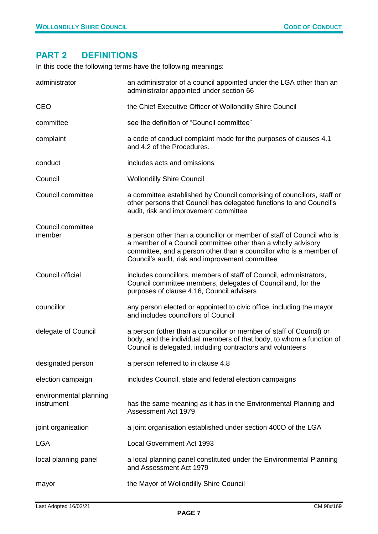#### <span id="page-6-0"></span>**PART 2 DEFINITIONS**

In this code the following terms have the following meanings:

| administrator                        | an administrator of a council appointed under the LGA other than an<br>administrator appointed under section 66                                                                                                                                                |
|--------------------------------------|----------------------------------------------------------------------------------------------------------------------------------------------------------------------------------------------------------------------------------------------------------------|
| <b>CEO</b>                           | the Chief Executive Officer of Wollondilly Shire Council                                                                                                                                                                                                       |
| committee                            | see the definition of "Council committee"                                                                                                                                                                                                                      |
| complaint                            | a code of conduct complaint made for the purposes of clauses 4.1<br>and 4.2 of the Procedures.                                                                                                                                                                 |
| conduct                              | includes acts and omissions                                                                                                                                                                                                                                    |
| Council                              | <b>Wollondilly Shire Council</b>                                                                                                                                                                                                                               |
| Council committee                    | a committee established by Council comprising of councillors, staff or<br>other persons that Council has delegated functions to and Council's<br>audit, risk and improvement committee                                                                         |
| Council committee<br>member          | a person other than a councillor or member of staff of Council who is<br>a member of a Council committee other than a wholly advisory<br>committee, and a person other than a councillor who is a member of<br>Council's audit, risk and improvement committee |
| Council official                     | includes councillors, members of staff of Council, administrators,<br>Council committee members, delegates of Council and, for the<br>purposes of clause 4.16, Council advisers                                                                                |
| councillor                           | any person elected or appointed to civic office, including the mayor<br>and includes councillors of Council                                                                                                                                                    |
| delegate of Council                  | a person (other than a councillor or member of staff of Council) or<br>body, and the individual members of that body, to whom a function of<br>Council is delegated, including contractors and volunteers                                                      |
| designated person                    | a person referred to in clause 4.8                                                                                                                                                                                                                             |
| election campaign                    | includes Council, state and federal election campaigns                                                                                                                                                                                                         |
| environmental planning<br>instrument | has the same meaning as it has in the Environmental Planning and<br>Assessment Act 1979                                                                                                                                                                        |
| joint organisation                   | a joint organisation established under section 400O of the LGA                                                                                                                                                                                                 |
| <b>LGA</b>                           | <b>Local Government Act 1993</b>                                                                                                                                                                                                                               |
| local planning panel                 | a local planning panel constituted under the Environmental Planning<br>and Assessment Act 1979                                                                                                                                                                 |
| mayor                                | the Mayor of Wollondilly Shire Council                                                                                                                                                                                                                         |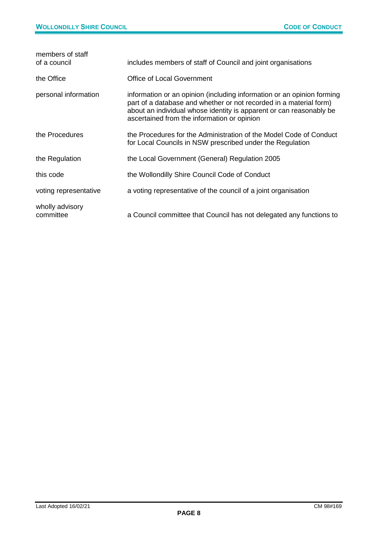| members of staff<br>of a council | includes members of staff of Council and joint organisations                                                                                                                                                                                                       |
|----------------------------------|--------------------------------------------------------------------------------------------------------------------------------------------------------------------------------------------------------------------------------------------------------------------|
| the Office                       | Office of Local Government                                                                                                                                                                                                                                         |
| personal information             | information or an opinion (including information or an opinion forming<br>part of a database and whether or not recorded in a material form)<br>about an individual whose identity is apparent or can reasonably be<br>ascertained from the information or opinion |
| the Procedures                   | the Procedures for the Administration of the Model Code of Conduct<br>for Local Councils in NSW prescribed under the Regulation                                                                                                                                    |
| the Regulation                   | the Local Government (General) Regulation 2005                                                                                                                                                                                                                     |
| this code                        | the Wollondilly Shire Council Code of Conduct                                                                                                                                                                                                                      |
| voting representative            | a voting representative of the council of a joint organisation                                                                                                                                                                                                     |
| wholly advisory<br>committee     | a Council committee that Council has not delegated any functions to                                                                                                                                                                                                |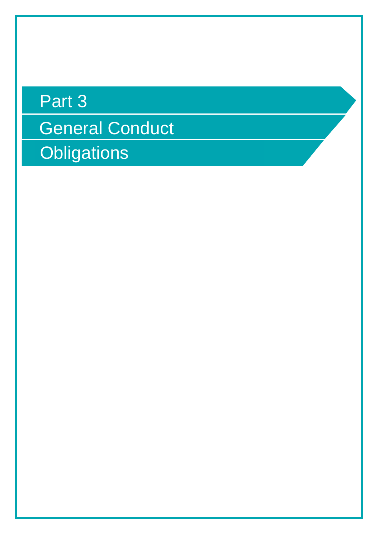## Part 3

General Conduct **Obligations**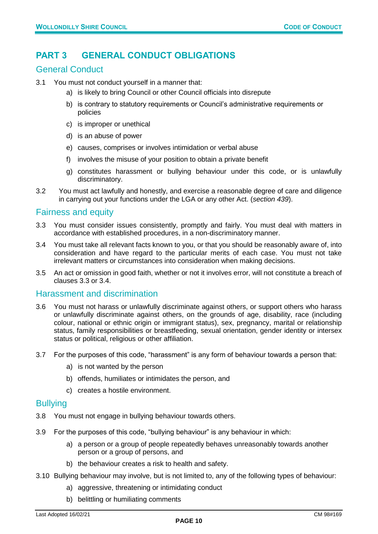#### <span id="page-9-0"></span>**PART 3 GENERAL CONDUCT OBLIGATIONS**

#### General Conduct

- 3.1 You must not conduct yourself in a manner that:
	- a) is likely to bring Council or other Council officials into disrepute
	- b) is contrary to statutory requirements or Council's administrative requirements or policies
	- c) is improper or unethical
	- d) is an abuse of power
	- e) causes, comprises or involves intimidation or verbal abuse
	- f) involves the misuse of your position to obtain a private benefit
	- g) constitutes harassment or bullying behaviour under this code, or is unlawfully discriminatory.
- 3.2 You must act lawfully and honestly, and exercise a reasonable degree of care and diligence in carrying out your functions under the LGA or any other Act. (*section 439*).

#### Fairness and equity

- 3.3 You must consider issues consistently, promptly and fairly. You must deal with matters in accordance with established procedures, in a non-discriminatory manner.
- 3.4 You must take all relevant facts known to you, or that you should be reasonably aware of, into consideration and have regard to the particular merits of each case. You must not take irrelevant matters or circumstances into consideration when making decisions.
- 3.5 An act or omission in good faith, whether or not it involves error, will not constitute a breach of clauses 3.3 or 3.4.

#### Harassment and discrimination

- 3.6 You must not harass or unlawfully discriminate against others, or support others who harass or unlawfully discriminate against others, on the grounds of age, disability, race (including colour, national or ethnic origin or immigrant status), sex, pregnancy, marital or relationship status, family responsibilities or breastfeeding, sexual orientation, gender identity or intersex status or political, religious or other affiliation.
- 3.7 For the purposes of this code, "harassment" is any form of behaviour towards a person that:
	- a) is not wanted by the person
	- b) offends, humiliates or intimidates the person, and
	- c) creates a hostile environment.

#### **Bullying**

- 3.8 You must not engage in bullying behaviour towards others.
- 3.9 For the purposes of this code, "bullying behaviour" is any behaviour in which:
	- a) a person or a group of people repeatedly behaves unreasonably towards another person or a group of persons, and
	- b) the behaviour creates a risk to health and safety.
- 3.10 Bullying behaviour may involve, but is not limited to, any of the following types of behaviour:
	- a) aggressive, threatening or intimidating conduct
	- b) belittling or humiliating comments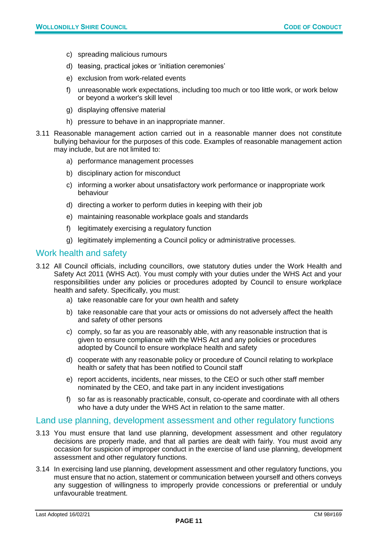- c) spreading malicious rumours
- d) teasing, practical jokes or 'initiation ceremonies'
- e) exclusion from work-related events
- f) unreasonable work expectations, including too much or too little work, or work below or beyond a worker's skill level
- g) displaying offensive material
- h) pressure to behave in an inappropriate manner.
- 3.11 Reasonable management action carried out in a reasonable manner does not constitute bullying behaviour for the purposes of this code. Examples of reasonable management action may include, but are not limited to:
	- a) performance management processes
	- b) disciplinary action for misconduct
	- c) informing a worker about unsatisfactory work performance or inappropriate work behaviour
	- d) directing a worker to perform duties in keeping with their job
	- e) maintaining reasonable workplace goals and standards
	- f) legitimately exercising a regulatory function
	- g) legitimately implementing a Council policy or administrative processes.

#### Work health and safety

- 3.12 All Council officials, including councillors, owe statutory duties under the Work Health and Safety Act 2011 (WHS Act). You must comply with your duties under the WHS Act and your responsibilities under any policies or procedures adopted by Council to ensure workplace health and safety. Specifically, you must:
	- a) take reasonable care for your own health and safety
	- b) take reasonable care that your acts or omissions do not adversely affect the health and safety of other persons
	- c) comply, so far as you are reasonably able, with any reasonable instruction that is given to ensure compliance with the WHS Act and any policies or procedures adopted by Council to ensure workplace health and safety
	- d) cooperate with any reasonable policy or procedure of Council relating to workplace health or safety that has been notified to Council staff
	- e) report accidents, incidents, near misses, to the CEO or such other staff member nominated by the CEO, and take part in any incident investigations
	- f) so far as is reasonably practicable, consult, co-operate and coordinate with all others who have a duty under the WHS Act in relation to the same matter.

#### Land use planning, development assessment and other regulatory functions

- 3.13 You must ensure that land use planning, development assessment and other regulatory decisions are properly made, and that all parties are dealt with fairly. You must avoid any occasion for suspicion of improper conduct in the exercise of land use planning, development assessment and other regulatory functions.
- 3.14 In exercising land use planning, development assessment and other regulatory functions, you must ensure that no action, statement or communication between yourself and others conveys any suggestion of willingness to improperly provide concessions or preferential or unduly unfavourable treatment.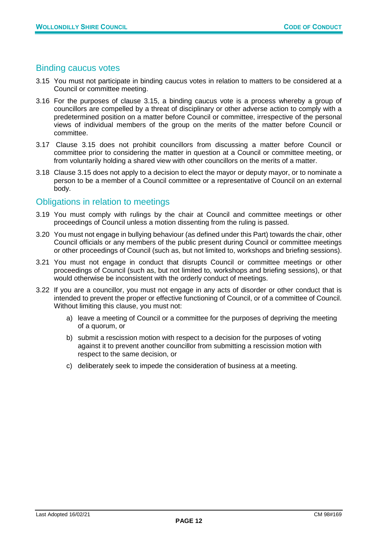#### Binding caucus votes

- 3.15 You must not participate in binding caucus votes in relation to matters to be considered at a Council or committee meeting.
- 3.16 For the purposes of clause 3.15, a binding caucus vote is a process whereby a group of councillors are compelled by a threat of disciplinary or other adverse action to comply with a predetermined position on a matter before Council or committee, irrespective of the personal views of individual members of the group on the merits of the matter before Council or committee.
- 3.17 Clause 3.15 does not prohibit councillors from discussing a matter before Council or committee prior to considering the matter in question at a Council or committee meeting, or from voluntarily holding a shared view with other councillors on the merits of a matter.
- 3.18 Clause 3.15 does not apply to a decision to elect the mayor or deputy mayor, or to nominate a person to be a member of a Council committee or a representative of Council on an external body.

#### Obligations in relation to meetings

- 3.19 You must comply with rulings by the chair at Council and committee meetings or other proceedings of Council unless a motion dissenting from the ruling is passed.
- 3.20 You must not engage in bullying behaviour (as defined under this Part) towards the chair, other Council officials or any members of the public present during Council or committee meetings or other proceedings of Council (such as, but not limited to, workshops and briefing sessions).
- 3.21 You must not engage in conduct that disrupts Council or committee meetings or other proceedings of Council (such as, but not limited to, workshops and briefing sessions), or that would otherwise be inconsistent with the orderly conduct of meetings.
- 3.22 If you are a councillor, you must not engage in any acts of disorder or other conduct that is intended to prevent the proper or effective functioning of Council, or of a committee of Council. Without limiting this clause, you must not:
	- a) leave a meeting of Council or a committee for the purposes of depriving the meeting of a quorum, or
	- b) submit a rescission motion with respect to a decision for the purposes of voting against it to prevent another councillor from submitting a rescission motion with respect to the same decision, or
	- c) deliberately seek to impede the consideration of business at a meeting.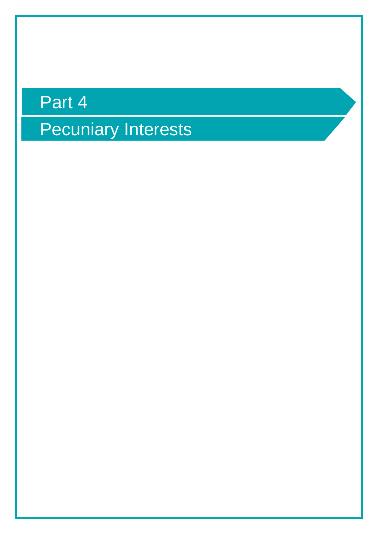# Part 4 Pecuniary Interests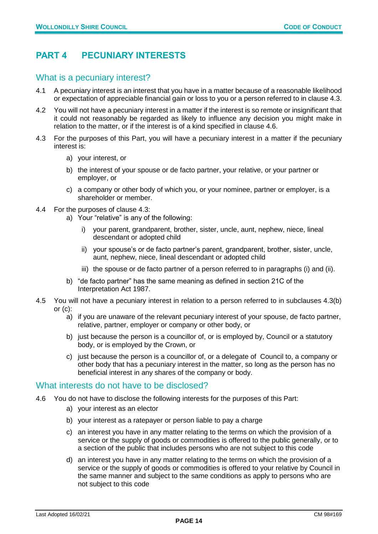#### <span id="page-13-0"></span>**PART 4 PECUNIARY INTERESTS**

#### What is a pecuniary interest?

- 4.1 A pecuniary interest is an interest that you have in a matter because of a reasonable likelihood or expectation of appreciable financial gain or loss to you or a person referred to in clause 4.3.
- 4.2 You will not have a pecuniary interest in a matter if the interest is so remote or insignificant that it could not reasonably be regarded as likely to influence any decision you might make in relation to the matter, or if the interest is of a kind specified in clause 4.6.
- 4.3 For the purposes of this Part, you will have a pecuniary interest in a matter if the pecuniary interest is:
	- a) your interest, or
	- b) the interest of your spouse or de facto partner, your relative, or your partner or employer, or
	- c) a company or other body of which you, or your nominee, partner or employer, is a shareholder or member.
- 4.4 For the purposes of clause 4.3:
	- a) Your "relative" is any of the following:
		- i) your parent, grandparent, brother, sister, uncle, aunt, nephew, niece, lineal descendant or adopted child
		- ii) your spouse's or de facto partner's parent, grandparent, brother, sister, uncle, aunt, nephew, niece, lineal descendant or adopted child
		- iii) the spouse or de facto partner of a person referred to in paragraphs (i) and (ii).
	- b) "de facto partner" has the same meaning as defined in section 21C of the Interpretation Act 1987.
- 4.5 You will not have a pecuniary interest in relation to a person referred to in subclauses 4.3(b) or  $(c)$ :
	- a) if you are unaware of the relevant pecuniary interest of your spouse, de facto partner, relative, partner, employer or company or other body, or
	- b) just because the person is a councillor of, or is employed by, Council or a statutory body, or is employed by the Crown, or
	- c) just because the person is a councillor of, or a delegate of Council to, a company or other body that has a pecuniary interest in the matter, so long as the person has no beneficial interest in any shares of the company or body.

#### What interests do not have to be disclosed?

- 4.6 You do not have to disclose the following interests for the purposes of this Part:
	- a) your interest as an elector
	- b) your interest as a ratepayer or person liable to pay a charge
	- c) an interest you have in any matter relating to the terms on which the provision of a service or the supply of goods or commodities is offered to the public generally, or to a section of the public that includes persons who are not subject to this code
	- d) an interest you have in any matter relating to the terms on which the provision of a service or the supply of goods or commodities is offered to your relative by Council in the same manner and subject to the same conditions as apply to persons who are not subject to this code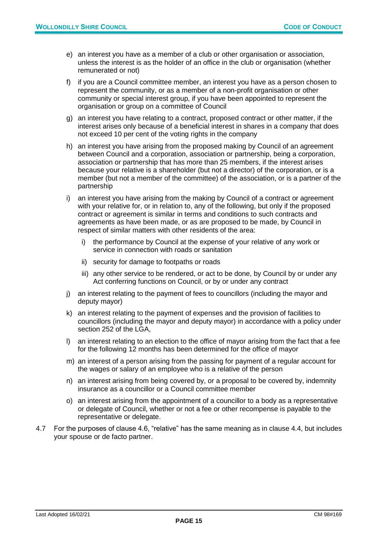- e) an interest you have as a member of a club or other organisation or association, unless the interest is as the holder of an office in the club or organisation (whether remunerated or not)
- f) if you are a Council committee member, an interest you have as a person chosen to represent the community, or as a member of a non-profit organisation or other community or special interest group, if you have been appointed to represent the organisation or group on a committee of Council
- g) an interest you have relating to a contract, proposed contract or other matter, if the interest arises only because of a beneficial interest in shares in a company that does not exceed 10 per cent of the voting rights in the company
- h) an interest you have arising from the proposed making by Council of an agreement between Council and a corporation, association or partnership, being a corporation, association or partnership that has more than 25 members, if the interest arises because your relative is a shareholder (but not a director) of the corporation, or is a member (but not a member of the committee) of the association, or is a partner of the partnership
- i) an interest you have arising from the making by Council of a contract or agreement with your relative for, or in relation to, any of the following, but only if the proposed contract or agreement is similar in terms and conditions to such contracts and agreements as have been made, or as are proposed to be made, by Council in respect of similar matters with other residents of the area:
	- i) the performance by Council at the expense of your relative of any work or service in connection with roads or sanitation
	- ii) security for damage to footpaths or roads
	- iii) any other service to be rendered, or act to be done, by Council by or under any Act conferring functions on Council, or by or under any contract
- j) an interest relating to the payment of fees to councillors (including the mayor and deputy mayor)
- k) an interest relating to the payment of expenses and the provision of facilities to councillors (including the mayor and deputy mayor) in accordance with a policy under section 252 of the LGA,
- l) an interest relating to an election to the office of mayor arising from the fact that a fee for the following 12 months has been determined for the office of mayor
- m) an interest of a person arising from the passing for payment of a regular account for the wages or salary of an employee who is a relative of the person
- n) an interest arising from being covered by, or a proposal to be covered by, indemnity insurance as a councillor or a Council committee member
- o) an interest arising from the appointment of a councillor to a body as a representative or delegate of Council, whether or not a fee or other recompense is payable to the representative or delegate.
- 4.7 For the purposes of clause 4.6, "relative" has the same meaning as in clause 4.4, but includes your spouse or de facto partner.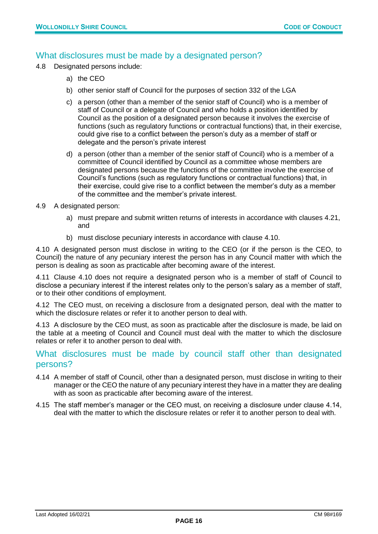#### What disclosures must be made by a designated person?

- 4.8 Designated persons include:
	- a) the CEO
	- b) other senior staff of Council for the purposes of section 332 of the LGA
	- c) a person (other than a member of the senior staff of Council) who is a member of staff of Council or a delegate of Council and who holds a position identified by Council as the position of a designated person because it involves the exercise of functions (such as regulatory functions or contractual functions) that, in their exercise, could give rise to a conflict between the person's duty as a member of staff or delegate and the person's private interest
	- d) a person (other than a member of the senior staff of Council) who is a member of a committee of Council identified by Council as a committee whose members are designated persons because the functions of the committee involve the exercise of Council's functions (such as regulatory functions or contractual functions) that, in their exercise, could give rise to a conflict between the member's duty as a member of the committee and the member's private interest.
- 4.9 A designated person:
	- a) must prepare and submit written returns of interests in accordance with clauses 4.21, and
	- b) must disclose pecuniary interests in accordance with clause 4.10.

4.10 A designated person must disclose in writing to the CEO (or if the person is the CEO, to Council) the nature of any pecuniary interest the person has in any Council matter with which the person is dealing as soon as practicable after becoming aware of the interest.

4.11 Clause 4.10 does not require a designated person who is a member of staff of Council to disclose a pecuniary interest if the interest relates only to the person's salary as a member of staff, or to their other conditions of employment.

4.12 The CEO must, on receiving a disclosure from a designated person, deal with the matter to which the disclosure relates or refer it to another person to deal with.

4.13 A disclosure by the CEO must, as soon as practicable after the disclosure is made, be laid on the table at a meeting of Council and Council must deal with the matter to which the disclosure relates or refer it to another person to deal with.

#### What disclosures must be made by council staff other than designated persons?

- 4.14 A member of staff of Council, other than a designated person, must disclose in writing to their manager or the CEO the nature of any pecuniary interest they have in a matter they are dealing with as soon as practicable after becoming aware of the interest.
- 4.15 The staff member's manager or the CEO must, on receiving a disclosure under clause 4.14, deal with the matter to which the disclosure relates or refer it to another person to deal with.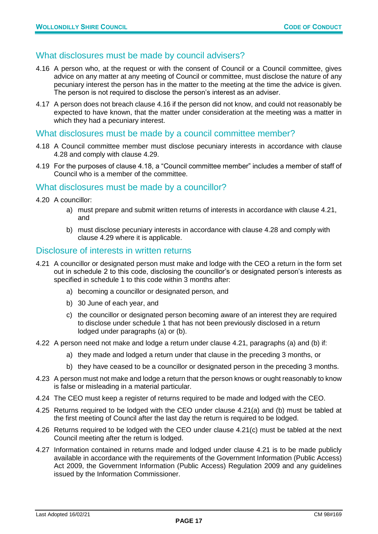#### What disclosures must be made by council advisers?

- 4.16 A person who, at the request or with the consent of Council or a Council committee, gives advice on any matter at any meeting of Council or committee, must disclose the nature of any pecuniary interest the person has in the matter to the meeting at the time the advice is given. The person is not required to disclose the person's interest as an adviser.
- 4.17 A person does not breach clause 4.16 if the person did not know, and could not reasonably be expected to have known, that the matter under consideration at the meeting was a matter in which they had a pecuniary interest.

#### What disclosures must be made by a council committee member?

- 4.18 A Council committee member must disclose pecuniary interests in accordance with clause 4.28 and comply with clause 4.29.
- 4.19 For the purposes of clause 4.18, a "Council committee member" includes a member of staff of Council who is a member of the committee.

#### What disclosures must be made by a councillor?

- 4.20 A councillor:
	- a) must prepare and submit written returns of interests in accordance with clause 4.21, and
	- b) must disclose pecuniary interests in accordance with clause 4.28 and comply with clause 4.29 where it is applicable.

#### Disclosure of interests in written returns

- 4.21 A councillor or designated person must make and lodge with the CEO a return in the form set out in schedule 2 to this code, disclosing the councillor's or designated person's interests as specified in schedule 1 to this code within 3 months after:
	- a) becoming a councillor or designated person, and
	- b) 30 June of each year, and
	- c) the councillor or designated person becoming aware of an interest they are required to disclose under schedule 1 that has not been previously disclosed in a return lodged under paragraphs (a) or (b).
- 4.22 A person need not make and lodge a return under clause 4.21, paragraphs (a) and (b) if:
	- a) they made and lodged a return under that clause in the preceding 3 months, or
	- b) they have ceased to be a councillor or designated person in the preceding 3 months.
- 4.23 A person must not make and lodge a return that the person knows or ought reasonably to know is false or misleading in a material particular.
- 4.24 The CEO must keep a register of returns required to be made and lodged with the CEO.
- 4.25 Returns required to be lodged with the CEO under clause 4.21(a) and (b) must be tabled at the first meeting of Council after the last day the return is required to be lodged.
- 4.26 Returns required to be lodged with the CEO under clause 4.21(c) must be tabled at the next Council meeting after the return is lodged.
- 4.27 Information contained in returns made and lodged under clause 4.21 is to be made publicly available in accordance with the requirements of the Government Information (Public Access) Act 2009, the Government Information (Public Access) Regulation 2009 and any guidelines issued by the Information Commissioner.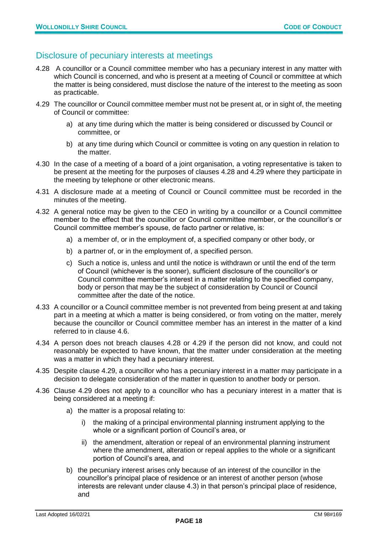#### Disclosure of pecuniary interests at meetings

- 4.28 A councillor or a Council committee member who has a pecuniary interest in any matter with which Council is concerned, and who is present at a meeting of Council or committee at which the matter is being considered, must disclose the nature of the interest to the meeting as soon as practicable.
- 4.29 The councillor or Council committee member must not be present at, or in sight of, the meeting of Council or committee:
	- a) at any time during which the matter is being considered or discussed by Council or committee, or
	- b) at any time during which Council or committee is voting on any question in relation to the matter.
- 4.30 In the case of a meeting of a board of a joint organisation, a voting representative is taken to be present at the meeting for the purposes of clauses 4.28 and 4.29 where they participate in the meeting by telephone or other electronic means.
- 4.31 A disclosure made at a meeting of Council or Council committee must be recorded in the minutes of the meeting.
- 4.32 A general notice may be given to the CEO in writing by a councillor or a Council committee member to the effect that the councillor or Council committee member, or the councillor's or Council committee member's spouse, de facto partner or relative, is:
	- a) a member of, or in the employment of, a specified company or other body, or
	- b) a partner of, or in the employment of, a specified person.
	- c) Such a notice is, unless and until the notice is withdrawn or until the end of the term of Council (whichever is the sooner), sufficient disclosure of the councillor's or Council committee member's interest in a matter relating to the specified company, body or person that may be the subject of consideration by Council or Council committee after the date of the notice.
- 4.33 A councillor or a Council committee member is not prevented from being present at and taking part in a meeting at which a matter is being considered, or from voting on the matter, merely because the councillor or Council committee member has an interest in the matter of a kind referred to in clause 4.6.
- 4.34 A person does not breach clauses 4.28 or 4.29 if the person did not know, and could not reasonably be expected to have known, that the matter under consideration at the meeting was a matter in which they had a pecuniary interest.
- 4.35 Despite clause 4.29, a councillor who has a pecuniary interest in a matter may participate in a decision to delegate consideration of the matter in question to another body or person.
- 4.36 Clause 4.29 does not apply to a councillor who has a pecuniary interest in a matter that is being considered at a meeting if:
	- a) the matter is a proposal relating to:
		- i) the making of a principal environmental planning instrument applying to the whole or a significant portion of Council's area, or
		- ii) the amendment, alteration or repeal of an environmental planning instrument where the amendment, alteration or repeal applies to the whole or a significant portion of Council's area, and
	- b) the pecuniary interest arises only because of an interest of the councillor in the councillor's principal place of residence or an interest of another person (whose interests are relevant under clause 4.3) in that person's principal place of residence, and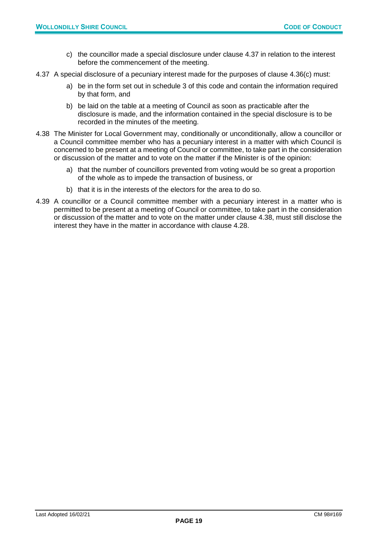- c) the councillor made a special disclosure under clause 4.37 in relation to the interest before the commencement of the meeting.
- 4.37 A special disclosure of a pecuniary interest made for the purposes of clause 4.36(c) must:
	- a) be in the form set out in schedule 3 of this code and contain the information required by that form, and
	- b) be laid on the table at a meeting of Council as soon as practicable after the disclosure is made, and the information contained in the special disclosure is to be recorded in the minutes of the meeting.
- 4.38 The Minister for Local Government may, conditionally or unconditionally, allow a councillor or a Council committee member who has a pecuniary interest in a matter with which Council is concerned to be present at a meeting of Council or committee, to take part in the consideration or discussion of the matter and to vote on the matter if the Minister is of the opinion:
	- a) that the number of councillors prevented from voting would be so great a proportion of the whole as to impede the transaction of business, or
	- b) that it is in the interests of the electors for the area to do so.
- 4.39 A councillor or a Council committee member with a pecuniary interest in a matter who is permitted to be present at a meeting of Council or committee, to take part in the consideration or discussion of the matter and to vote on the matter under clause 4.38, must still disclose the interest they have in the matter in accordance with clause 4.28.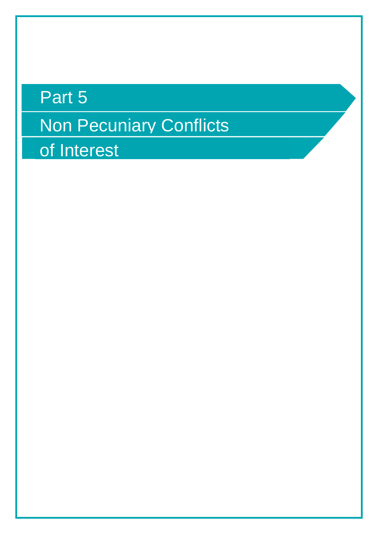# Part 5 Non Pecuniary Conflicts of Interest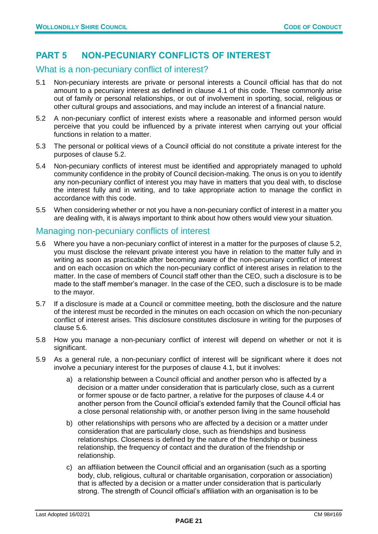#### <span id="page-20-0"></span>**PART 5 NON-PECUNIARY CONFLICTS OF INTEREST**

#### What is a non-pecuniary conflict of interest?

- 5.1 Non-pecuniary interests are private or personal interests a Council official has that do not amount to a pecuniary interest as defined in clause 4.1 of this code. These commonly arise out of family or personal relationships, or out of involvement in sporting, social, religious or other cultural groups and associations, and may include an interest of a financial nature.
- 5.2 A non-pecuniary conflict of interest exists where a reasonable and informed person would perceive that you could be influenced by a private interest when carrying out your official functions in relation to a matter.
- 5.3 The personal or political views of a Council official do not constitute a private interest for the purposes of clause 5.2.
- 5.4 Non-pecuniary conflicts of interest must be identified and appropriately managed to uphold community confidence in the probity of Council decision-making. The onus is on you to identify any non-pecuniary conflict of interest you may have in matters that you deal with, to disclose the interest fully and in writing, and to take appropriate action to manage the conflict in accordance with this code.
- 5.5 When considering whether or not you have a non-pecuniary conflict of interest in a matter you are dealing with, it is always important to think about how others would view your situation.

#### Managing non-pecuniary conflicts of interest

- 5.6 Where you have a non-pecuniary conflict of interest in a matter for the purposes of clause 5.2, you must disclose the relevant private interest you have in relation to the matter fully and in writing as soon as practicable after becoming aware of the non-pecuniary conflict of interest and on each occasion on which the non-pecuniary conflict of interest arises in relation to the matter. In the case of members of Council staff other than the CEO, such a disclosure is to be made to the staff member's manager. In the case of the CEO, such a disclosure is to be made to the mayor.
- 5.7 If a disclosure is made at a Council or committee meeting, both the disclosure and the nature of the interest must be recorded in the minutes on each occasion on which the non-pecuniary conflict of interest arises. This disclosure constitutes disclosure in writing for the purposes of clause 5.6.
- 5.8 How you manage a non-pecuniary conflict of interest will depend on whether or not it is significant.
- 5.9 As a general rule, a non-pecuniary conflict of interest will be significant where it does not involve a pecuniary interest for the purposes of clause 4.1, but it involves:
	- a) a relationship between a Council official and another person who is affected by a decision or a matter under consideration that is particularly close, such as a current or former spouse or de facto partner, a relative for the purposes of clause 4.4 or another person from the Council official's extended family that the Council official has a close personal relationship with, or another person living in the same household
	- b) other relationships with persons who are affected by a decision or a matter under consideration that are particularly close, such as friendships and business relationships. Closeness is defined by the nature of the friendship or business relationship, the frequency of contact and the duration of the friendship or relationship.
	- c) an affiliation between the Council official and an organisation (such as a sporting body, club, religious, cultural or charitable organisation, corporation or association) that is affected by a decision or a matter under consideration that is particularly strong. The strength of Council official's affiliation with an organisation is to be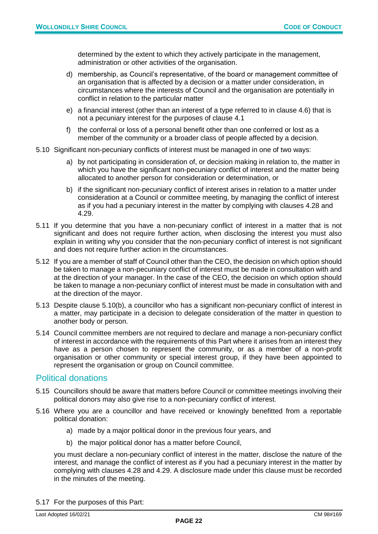determined by the extent to which they actively participate in the management, administration or other activities of the organisation.

- d) membership, as Council's representative, of the board or management committee of an organisation that is affected by a decision or a matter under consideration, in circumstances where the interests of Council and the organisation are potentially in conflict in relation to the particular matter
- e) a financial interest (other than an interest of a type referred to in clause 4.6) that is not a pecuniary interest for the purposes of clause 4.1
- f) the conferral or loss of a personal benefit other than one conferred or lost as a member of the community or a broader class of people affected by a decision.
- 5.10 Significant non-pecuniary conflicts of interest must be managed in one of two ways:
	- a) by not participating in consideration of, or decision making in relation to, the matter in which you have the significant non-pecuniary conflict of interest and the matter being allocated to another person for consideration or determination, or
	- b) if the significant non-pecuniary conflict of interest arises in relation to a matter under consideration at a Council or committee meeting, by managing the conflict of interest as if you had a pecuniary interest in the matter by complying with clauses 4.28 and 4.29.
- 5.11 If you determine that you have a non-pecuniary conflict of interest in a matter that is not significant and does not require further action, when disclosing the interest you must also explain in writing why you consider that the non-pecuniary conflict of interest is not significant and does not require further action in the circumstances.
- 5.12 If you are a member of staff of Council other than the CEO, the decision on which option should be taken to manage a non-pecuniary conflict of interest must be made in consultation with and at the direction of your manager. In the case of the CEO, the decision on which option should be taken to manage a non-pecuniary conflict of interest must be made in consultation with and at the direction of the mayor.
- 5.13 Despite clause 5.10(b), a councillor who has a significant non-pecuniary conflict of interest in a matter, may participate in a decision to delegate consideration of the matter in question to another body or person.
- 5.14 Council committee members are not required to declare and manage a non-pecuniary conflict of interest in accordance with the requirements of this Part where it arises from an interest they have as a person chosen to represent the community, or as a member of a non-profit organisation or other community or special interest group, if they have been appointed to represent the organisation or group on Council committee.

#### Political donations

- 5.15 Councillors should be aware that matters before Council or committee meetings involving their political donors may also give rise to a non-pecuniary conflict of interest.
- 5.16 Where you are a councillor and have received or knowingly benefitted from a reportable political donation:
	- a) made by a major political donor in the previous four years, and
	- b) the major political donor has a matter before Council,

you must declare a non-pecuniary conflict of interest in the matter, disclose the nature of the interest, and manage the conflict of interest as if you had a pecuniary interest in the matter by complying with clauses 4.28 and 4.29. A disclosure made under this clause must be recorded in the minutes of the meeting.

5.17 For the purposes of this Part: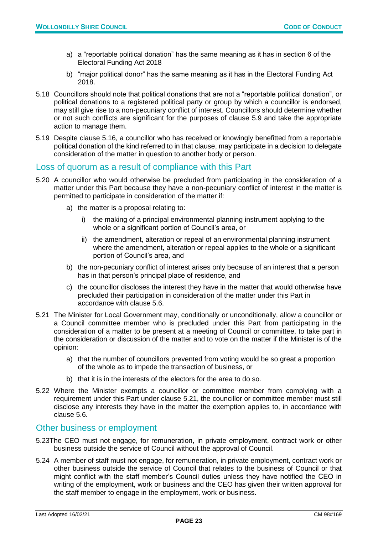- a) a "reportable political donation" has the same meaning as it has in section 6 of the Electoral Funding Act 2018
- b) "major political donor" has the same meaning as it has in the Electoral Funding Act 2018.
- 5.18 Councillors should note that political donations that are not a "reportable political donation", or political donations to a registered political party or group by which a councillor is endorsed, may still give rise to a non-pecuniary conflict of interest. Councillors should determine whether or not such conflicts are significant for the purposes of clause 5.9 and take the appropriate action to manage them.
- 5.19 Despite clause 5.16, a councillor who has received or knowingly benefitted from a reportable political donation of the kind referred to in that clause, may participate in a decision to delegate consideration of the matter in question to another body or person.

#### Loss of quorum as a result of compliance with this Part

- 5.20 A councillor who would otherwise be precluded from participating in the consideration of a matter under this Part because they have a non-pecuniary conflict of interest in the matter is permitted to participate in consideration of the matter if:
	- a) the matter is a proposal relating to:
		- i) the making of a principal environmental planning instrument applying to the whole or a significant portion of Council's area, or
		- ii) the amendment, alteration or repeal of an environmental planning instrument where the amendment, alteration or repeal applies to the whole or a significant portion of Council's area, and
	- b) the non-pecuniary conflict of interest arises only because of an interest that a person has in that person's principal place of residence, and
	- c) the councillor discloses the interest they have in the matter that would otherwise have precluded their participation in consideration of the matter under this Part in accordance with clause 5.6.
- 5.21 The Minister for Local Government may, conditionally or unconditionally, allow a councillor or a Council committee member who is precluded under this Part from participating in the consideration of a matter to be present at a meeting of Council or committee, to take part in the consideration or discussion of the matter and to vote on the matter if the Minister is of the opinion:
	- a) that the number of councillors prevented from voting would be so great a proportion of the whole as to impede the transaction of business, or
	- b) that it is in the interests of the electors for the area to do so.
- 5.22 Where the Minister exempts a councillor or committee member from complying with a requirement under this Part under clause 5.21, the councillor or committee member must still disclose any interests they have in the matter the exemption applies to, in accordance with clause 5.6.

#### Other business or employment

- 5.23The CEO must not engage, for remuneration, in private employment, contract work or other business outside the service of Council without the approval of Council.
- 5.24 A member of staff must not engage, for remuneration, in private employment, contract work or other business outside the service of Council that relates to the business of Council or that might conflict with the staff member's Council duties unless they have notified the CEO in writing of the employment, work or business and the CEO has given their written approval for the staff member to engage in the employment, work or business.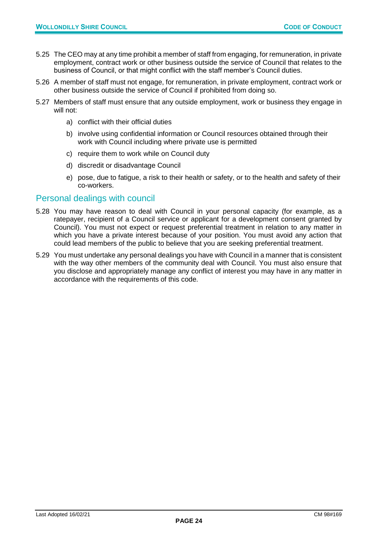- 5.25 The CEO may at any time prohibit a member of staff from engaging, for remuneration, in private employment, contract work or other business outside the service of Council that relates to the business of Council, or that might conflict with the staff member's Council duties.
- 5.26 A member of staff must not engage, for remuneration, in private employment, contract work or other business outside the service of Council if prohibited from doing so.
- 5.27 Members of staff must ensure that any outside employment, work or business they engage in will not:
	- a) conflict with their official duties
	- b) involve using confidential information or Council resources obtained through their work with Council including where private use is permitted
	- c) require them to work while on Council duty
	- d) discredit or disadvantage Council
	- e) pose, due to fatigue, a risk to their health or safety, or to the health and safety of their co-workers.

#### Personal dealings with council

- 5.28 You may have reason to deal with Council in your personal capacity (for example, as a ratepayer, recipient of a Council service or applicant for a development consent granted by Council). You must not expect or request preferential treatment in relation to any matter in which you have a private interest because of your position. You must avoid any action that could lead members of the public to believe that you are seeking preferential treatment.
- 5.29 You must undertake any personal dealings you have with Council in a manner that is consistent with the way other members of the community deal with Council. You must also ensure that you disclose and appropriately manage any conflict of interest you may have in any matter in accordance with the requirements of this code.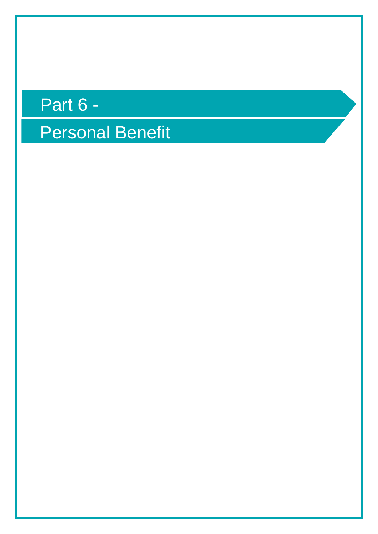## Part 6 -

Personal Benefit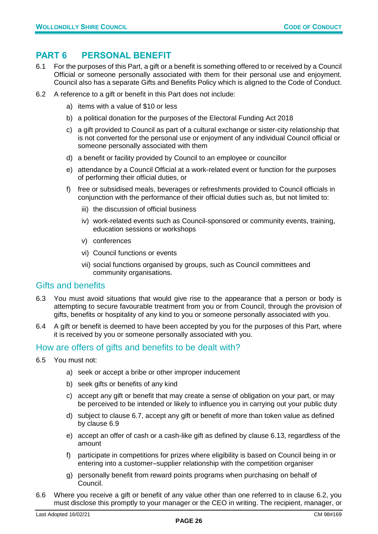#### <span id="page-25-0"></span>**PART 6 PERSONAL BENEFIT**

- 6.1 For the purposes of this Part, a gift or a benefit is something offered to or received by a Council Official or someone personally associated with them for their personal use and enjoyment. Council also has a separate Gifts and Benefits Policy which is aligned to the Code of Conduct.
- 6.2 A reference to a gift or benefit in this Part does not include:
	- a) items with a value of \$10 or less
	- b) a political donation for the purposes of the Electoral Funding Act 2018
	- c) a gift provided to Council as part of a cultural exchange or sister-city relationship that is not converted for the personal use or enjoyment of any individual Council official or someone personally associated with them
	- d) a benefit or facility provided by Council to an employee or councillor
	- e) attendance by a Council Official at a work-related event or function for the purposes of performing their official duties, or
	- f) free or subsidised meals, beverages or refreshments provided to Council officials in conjunction with the performance of their official duties such as, but not limited to:
		- iii) the discussion of official business
		- iv) work-related events such as Council-sponsored or community events, training, education sessions or workshops
		- v) conferences
		- vi) Council functions or events
		- vii) social functions organised by groups, such as Council committees and community organisations.

#### Gifts and benefits

- 6.3 You must avoid situations that would give rise to the appearance that a person or body is attempting to secure favourable treatment from you or from Council, through the provision of gifts, benefits or hospitality of any kind to you or someone personally associated with you.
- 6.4 A gift or benefit is deemed to have been accepted by you for the purposes of this Part, where it is received by you or someone personally associated with you.

#### How are offers of gifts and benefits to be dealt with?

- 6.5 You must not:
	- a) seek or accept a bribe or other improper inducement
	- b) seek gifts or benefits of any kind
	- c) accept any gift or benefit that may create a sense of obligation on your part, or may be perceived to be intended or likely to influence you in carrying out your public duty
	- d) subject to clause 6.7, accept any gift or benefit of more than token value as defined by clause 6.9
	- e) accept an offer of cash or a cash-like gift as defined by clause 6.13, regardless of the amount
	- f) participate in competitions for prizes where eligibility is based on Council being in or entering into a customer–supplier relationship with the competition organiser
	- g) personally benefit from reward points programs when purchasing on behalf of Council.
- 6.6 Where you receive a gift or benefit of any value other than one referred to in clause 6.2, you must disclose this promptly to your manager or the CEO in writing. The recipient, manager, or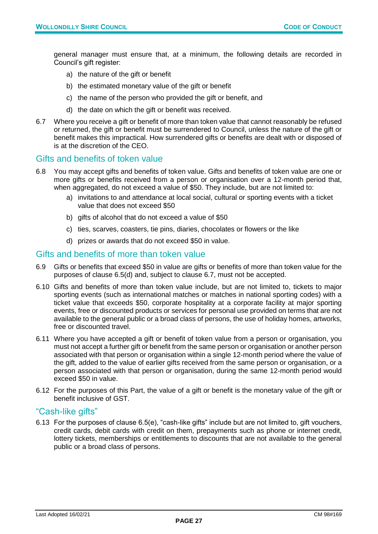general manager must ensure that, at a minimum, the following details are recorded in Council's gift register:

- a) the nature of the gift or benefit
- b) the estimated monetary value of the gift or benefit
- c) the name of the person who provided the gift or benefit, and
- d) the date on which the gift or benefit was received.
- 6.7 Where you receive a gift or benefit of more than token value that cannot reasonably be refused or returned, the gift or benefit must be surrendered to Council, unless the nature of the gift or benefit makes this impractical. How surrendered gifts or benefits are dealt with or disposed of is at the discretion of the CEO.

#### Gifts and benefits of token value

- 6.8 You may accept gifts and benefits of token value. Gifts and benefits of token value are one or more gifts or benefits received from a person or organisation over a 12-month period that, when aggregated, do not exceed a value of \$50. They include, but are not limited to:
	- a) invitations to and attendance at local social, cultural or sporting events with a ticket value that does not exceed \$50
	- b) gifts of alcohol that do not exceed a value of \$50
	- c) ties, scarves, coasters, tie pins, diaries, chocolates or flowers or the like
	- d) prizes or awards that do not exceed \$50 in value.

#### Gifts and benefits of more than token value

- 6.9 Gifts or benefits that exceed \$50 in value are gifts or benefits of more than token value for the purposes of clause 6.5(d) and, subject to clause 6.7, must not be accepted.
- 6.10 Gifts and benefits of more than token value include, but are not limited to, tickets to major sporting events (such as international matches or matches in national sporting codes) with a ticket value that exceeds \$50, corporate hospitality at a corporate facility at major sporting events, free or discounted products or services for personal use provided on terms that are not available to the general public or a broad class of persons, the use of holiday homes, artworks, free or discounted travel.
- 6.11 Where you have accepted a gift or benefit of token value from a person or organisation, you must not accept a further gift or benefit from the same person or organisation or another person associated with that person or organisation within a single 12-month period where the value of the gift, added to the value of earlier gifts received from the same person or organisation, or a person associated with that person or organisation, during the same 12-month period would exceed \$50 in value.
- 6.12 For the purposes of this Part, the value of a gift or benefit is the monetary value of the gift or benefit inclusive of GST.

#### "Cash-like gifts"

6.13 For the purposes of clause 6.5(e), "cash-like gifts" include but are not limited to, gift vouchers, credit cards, debit cards with credit on them, prepayments such as phone or internet credit, lottery tickets, memberships or entitlements to discounts that are not available to the general public or a broad class of persons.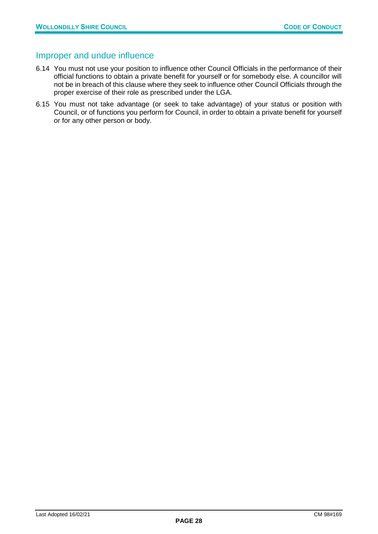#### Improper and undue influence

- 6.14 You must not use your position to influence other Council Officials in the performance of their official functions to obtain a private benefit for yourself or for somebody else. A councillor will not be in breach of this clause where they seek to influence other Council Officials through the proper exercise of their role as prescribed under the LGA.
- 6.15 You must not take advantage (or seek to take advantage) of your status or position with Council, or of functions you perform for Council, in order to obtain a private benefit for yourself or for any other person or body.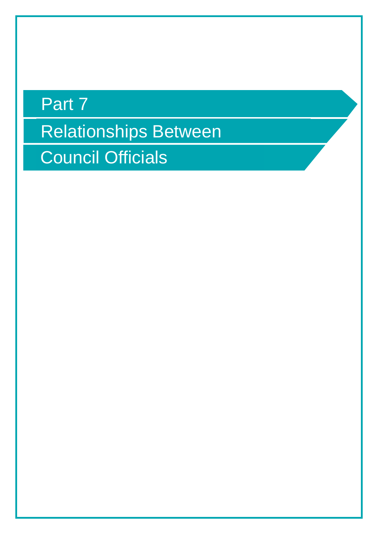## Relationships Between Part 7 Council Officials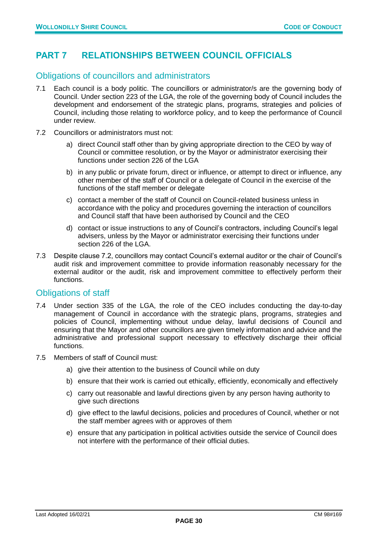#### <span id="page-29-0"></span>**PART 7 RELATIONSHIPS BETWEEN COUNCIL OFFICIALS**

#### Obligations of councillors and administrators

- 7.1 Each council is a body politic. The councillors or administrator/s are the governing body of Council. Under section 223 of the LGA, the role of the governing body of Council includes the development and endorsement of the strategic plans, programs, strategies and policies of Council, including those relating to workforce policy, and to keep the performance of Council under review.
- 7.2 Councillors or administrators must not:
	- a) direct Council staff other than by giving appropriate direction to the CEO by way of Council or committee resolution, or by the Mayor or administrator exercising their functions under section 226 of the LGA
	- b) in any public or private forum, direct or influence, or attempt to direct or influence, any other member of the staff of Council or a delegate of Council in the exercise of the functions of the staff member or delegate
	- c) contact a member of the staff of Council on Council-related business unless in accordance with the policy and procedures governing the interaction of councillors and Council staff that have been authorised by Council and the CEO
	- d) contact or issue instructions to any of Council's contractors, including Council's legal advisers, unless by the Mayor or administrator exercising their functions under section 226 of the LGA.
- 7.3 Despite clause 7.2, councillors may contact Council's external auditor or the chair of Council's audit risk and improvement committee to provide information reasonably necessary for the external auditor or the audit, risk and improvement committee to effectively perform their functions.

#### Obligations of staff

- 7.4 Under section 335 of the LGA, the role of the CEO includes conducting the day-to-day management of Council in accordance with the strategic plans, programs, strategies and policies of Council, implementing without undue delay, lawful decisions of Council and ensuring that the Mayor and other councillors are given timely information and advice and the administrative and professional support necessary to effectively discharge their official functions.
- 7.5 Members of staff of Council must:
	- a) give their attention to the business of Council while on duty
	- b) ensure that their work is carried out ethically, efficiently, economically and effectively
	- c) carry out reasonable and lawful directions given by any person having authority to give such directions
	- d) give effect to the lawful decisions, policies and procedures of Council, whether or not the staff member agrees with or approves of them
	- e) ensure that any participation in political activities outside the service of Council does not interfere with the performance of their official duties.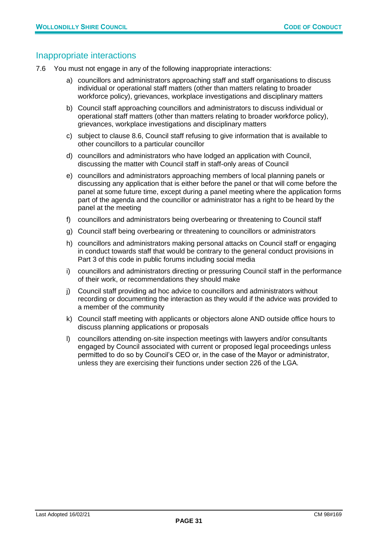#### Inappropriate interactions

- 7.6 You must not engage in any of the following inappropriate interactions:
	- a) councillors and administrators approaching staff and staff organisations to discuss individual or operational staff matters (other than matters relating to broader workforce policy), grievances, workplace investigations and disciplinary matters
	- b) Council staff approaching councillors and administrators to discuss individual or operational staff matters (other than matters relating to broader workforce policy), grievances, workplace investigations and disciplinary matters
	- c) subject to clause 8.6, Council staff refusing to give information that is available to other councillors to a particular councillor
	- d) councillors and administrators who have lodged an application with Council, discussing the matter with Council staff in staff-only areas of Council
	- e) councillors and administrators approaching members of local planning panels or discussing any application that is either before the panel or that will come before the panel at some future time, except during a panel meeting where the application forms part of the agenda and the councillor or administrator has a right to be heard by the panel at the meeting
	- f) councillors and administrators being overbearing or threatening to Council staff
	- g) Council staff being overbearing or threatening to councillors or administrators
	- h) councillors and administrators making personal attacks on Council staff or engaging in conduct towards staff that would be contrary to the general conduct provisions in Part 3 of this code in public forums including social media
	- i) councillors and administrators directing or pressuring Council staff in the performance of their work, or recommendations they should make
	- j) Council staff providing ad hoc advice to councillors and administrators without recording or documenting the interaction as they would if the advice was provided to a member of the community
	- k) Council staff meeting with applicants or objectors alone AND outside office hours to discuss planning applications or proposals
	- l) councillors attending on-site inspection meetings with lawyers and/or consultants engaged by Council associated with current or proposed legal proceedings unless permitted to do so by Council's CEO or, in the case of the Mayor or administrator, unless they are exercising their functions under section 226 of the LGA.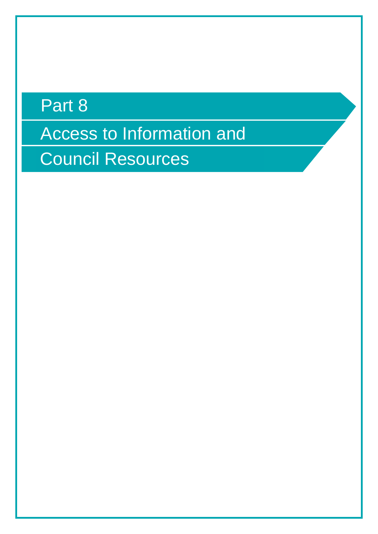## Part 8

Access to Information and

Council Resources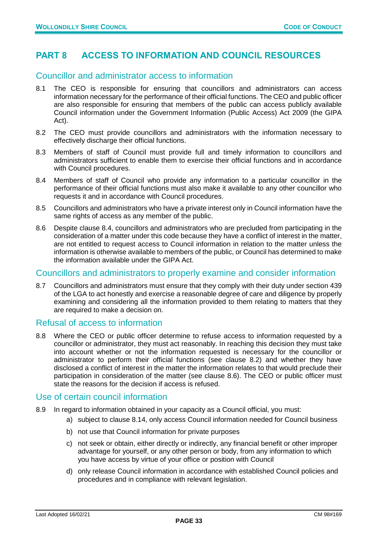#### <span id="page-32-0"></span>**PART 8 ACCESS TO INFORMATION AND COUNCIL RESOURCES**

#### Councillor and administrator access to information

- 8.1 The CEO is responsible for ensuring that councillors and administrators can access information necessary for the performance of their official functions. The CEO and public officer are also responsible for ensuring that members of the public can access publicly available Council information under the Government Information (Public Access) Act 2009 (the GIPA Act).
- 8.2 The CEO must provide councillors and administrators with the information necessary to effectively discharge their official functions.
- 8.3 Members of staff of Council must provide full and timely information to councillors and administrators sufficient to enable them to exercise their official functions and in accordance with Council procedures.
- 8.4 Members of staff of Council who provide any information to a particular councillor in the performance of their official functions must also make it available to any other councillor who requests it and in accordance with Council procedures.
- 8.5 Councillors and administrators who have a private interest only in Council information have the same rights of access as any member of the public.
- 8.6 Despite clause 8.4, councillors and administrators who are precluded from participating in the consideration of a matter under this code because they have a conflict of interest in the matter, are not entitled to request access to Council information in relation to the matter unless the information is otherwise available to members of the public, or Council has determined to make the information available under the GIPA Act.

#### Councillors and administrators to properly examine and consider information

8.7 Councillors and administrators must ensure that they comply with their duty under section 439 of the LGA to act honestly and exercise a reasonable degree of care and diligence by properly examining and considering all the information provided to them relating to matters that they are required to make a decision on.

#### Refusal of access to information

8.8 Where the CEO or public officer determine to refuse access to information requested by a councillor or administrator, they must act reasonably. In reaching this decision they must take into account whether or not the information requested is necessary for the councillor or administrator to perform their official functions (see clause 8.2) and whether they have disclosed a conflict of interest in the matter the information relates to that would preclude their participation in consideration of the matter (see clause 8.6). The CEO or public officer must state the reasons for the decision if access is refused.

#### Use of certain council information

- 8.9 In regard to information obtained in your capacity as a Council official, you must:
	- a) subject to clause 8.14, only access Council information needed for Council business
	- b) not use that Council information for private purposes
	- c) not seek or obtain, either directly or indirectly, any financial benefit or other improper advantage for yourself, or any other person or body, from any information to which you have access by virtue of your office or position with Council
	- d) only release Council information in accordance with established Council policies and procedures and in compliance with relevant legislation.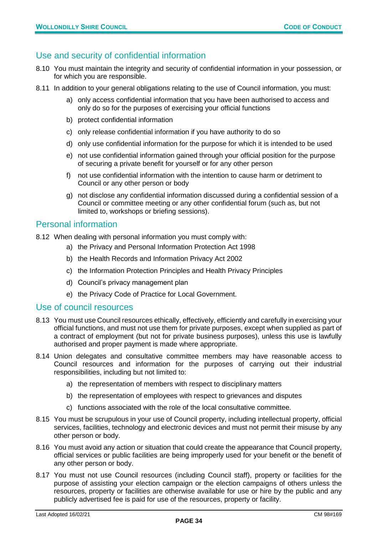#### Use and security of confidential information

- 8.10 You must maintain the integrity and security of confidential information in your possession, or for which you are responsible.
- 8.11 In addition to your general obligations relating to the use of Council information, you must:
	- a) only access confidential information that you have been authorised to access and only do so for the purposes of exercising your official functions
	- b) protect confidential information
	- c) only release confidential information if you have authority to do so
	- d) only use confidential information for the purpose for which it is intended to be used
	- e) not use confidential information gained through your official position for the purpose of securing a private benefit for yourself or for any other person
	- f) not use confidential information with the intention to cause harm or detriment to Council or any other person or body
	- g) not disclose any confidential information discussed during a confidential session of a Council or committee meeting or any other confidential forum (such as, but not limited to, workshops or briefing sessions).

#### Personal information

8.12 When dealing with personal information you must comply with:

- a) the Privacy and Personal Information Protection Act 1998
- b) the Health Records and Information Privacy Act 2002
- c) the Information Protection Principles and Health Privacy Principles
- d) Council's privacy management plan
- e) the Privacy Code of Practice for Local Government.

#### Use of council resources

- 8.13 You must use Council resources ethically, effectively, efficiently and carefully in exercising your official functions, and must not use them for private purposes, except when supplied as part of a contract of employment (but not for private business purposes), unless this use is lawfully authorised and proper payment is made where appropriate.
- 8.14 Union delegates and consultative committee members may have reasonable access to Council resources and information for the purposes of carrying out their industrial responsibilities, including but not limited to:
	- a) the representation of members with respect to disciplinary matters
	- b) the representation of employees with respect to grievances and disputes
	- c) functions associated with the role of the local consultative committee.
- 8.15 You must be scrupulous in your use of Council property, including intellectual property, official services, facilities, technology and electronic devices and must not permit their misuse by any other person or body.
- 8.16 You must avoid any action or situation that could create the appearance that Council property, official services or public facilities are being improperly used for your benefit or the benefit of any other person or body.
- 8.17 You must not use Council resources (including Council staff), property or facilities for the purpose of assisting your election campaign or the election campaigns of others unless the resources, property or facilities are otherwise available for use or hire by the public and any publicly advertised fee is paid for use of the resources, property or facility.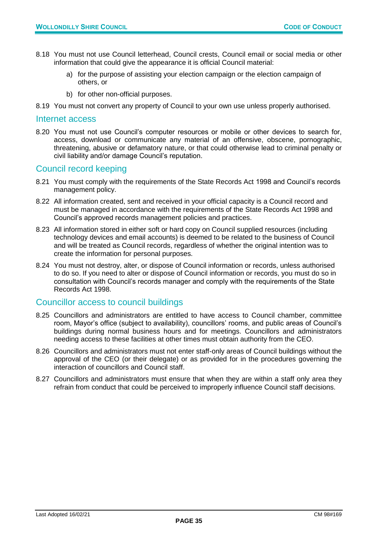- 8.18 You must not use Council letterhead, Council crests, Council email or social media or other information that could give the appearance it is official Council material:
	- a) for the purpose of assisting your election campaign or the election campaign of others, or
	- b) for other non-official purposes.
- 8.19 You must not convert any property of Council to your own use unless properly authorised.

#### Internet access

8.20 You must not use Council's computer resources or mobile or other devices to search for, access, download or communicate any material of an offensive, obscene, pornographic, threatening, abusive or defamatory nature, or that could otherwise lead to criminal penalty or civil liability and/or damage Council's reputation.

#### Council record keeping

- 8.21 You must comply with the requirements of the State Records Act 1998 and Council's records management policy.
- 8.22 All information created, sent and received in your official capacity is a Council record and must be managed in accordance with the requirements of the State Records Act 1998 and Council's approved records management policies and practices.
- 8.23 All information stored in either soft or hard copy on Council supplied resources (including technology devices and email accounts) is deemed to be related to the business of Council and will be treated as Council records, regardless of whether the original intention was to create the information for personal purposes.
- 8.24 You must not destroy, alter, or dispose of Council information or records, unless authorised to do so. If you need to alter or dispose of Council information or records, you must do so in consultation with Council's records manager and comply with the requirements of the State Records Act 1998.

#### Councillor access to council buildings

- 8.25 Councillors and administrators are entitled to have access to Council chamber, committee room, Mayor's office (subject to availability), councillors' rooms, and public areas of Council's buildings during normal business hours and for meetings. Councillors and administrators needing access to these facilities at other times must obtain authority from the CEO.
- 8.26 Councillors and administrators must not enter staff-only areas of Council buildings without the approval of the CEO (or their delegate) or as provided for in the procedures governing the interaction of councillors and Council staff.
- 8.27 Councillors and administrators must ensure that when they are within a staff only area they refrain from conduct that could be perceived to improperly influence Council staff decisions.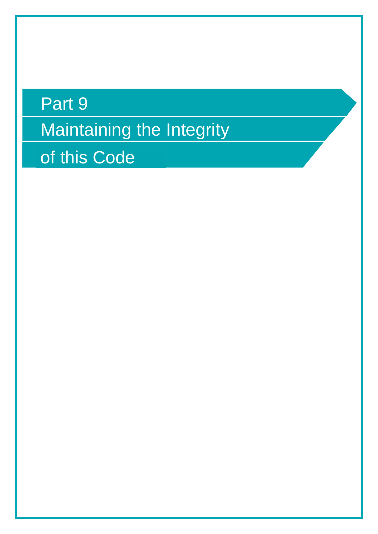# Maintaining the Integrity Part 9 of this Code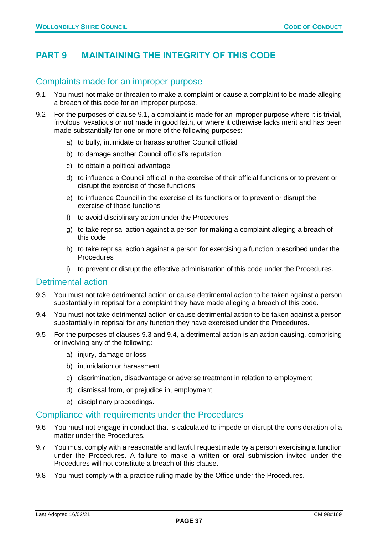#### <span id="page-36-0"></span>**PART 9 MAINTAINING THE INTEGRITY OF THIS CODE**

#### Complaints made for an improper purpose

- 9.1 You must not make or threaten to make a complaint or cause a complaint to be made alleging a breach of this code for an improper purpose.
- 9.2 For the purposes of clause 9.1, a complaint is made for an improper purpose where it is trivial, frivolous, vexatious or not made in good faith, or where it otherwise lacks merit and has been made substantially for one or more of the following purposes:
	- a) to bully, intimidate or harass another Council official
	- b) to damage another Council official's reputation
	- c) to obtain a political advantage
	- d) to influence a Council official in the exercise of their official functions or to prevent or disrupt the exercise of those functions
	- e) to influence Council in the exercise of its functions or to prevent or disrupt the exercise of those functions
	- f) to avoid disciplinary action under the Procedures
	- g) to take reprisal action against a person for making a complaint alleging a breach of this code
	- h) to take reprisal action against a person for exercising a function prescribed under the **Procedures**
	- i) to prevent or disrupt the effective administration of this code under the Procedures.

#### Detrimental action

- 9.3 You must not take detrimental action or cause detrimental action to be taken against a person substantially in reprisal for a complaint they have made alleging a breach of this code.
- 9.4 You must not take detrimental action or cause detrimental action to be taken against a person substantially in reprisal for any function they have exercised under the Procedures.
- 9.5 For the purposes of clauses 9.3 and 9.4, a detrimental action is an action causing, comprising or involving any of the following:
	- a) injury, damage or loss
	- b) intimidation or harassment
	- c) discrimination, disadvantage or adverse treatment in relation to employment
	- d) dismissal from, or prejudice in, employment
	- e) disciplinary proceedings.

#### Compliance with requirements under the Procedures

- 9.6 You must not engage in conduct that is calculated to impede or disrupt the consideration of a matter under the Procedures.
- 9.7 You must comply with a reasonable and lawful request made by a person exercising a function under the Procedures. A failure to make a written or oral submission invited under the Procedures will not constitute a breach of this clause.
- 9.8 You must comply with a practice ruling made by the Office under the Procedures.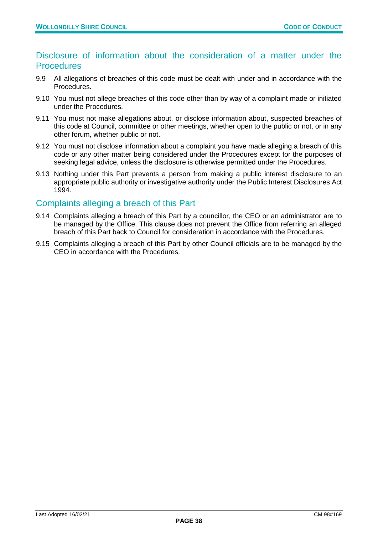#### Disclosure of information about the consideration of a matter under the **Procedures**

- 9.9 All allegations of breaches of this code must be dealt with under and in accordance with the Procedures.
- 9.10 You must not allege breaches of this code other than by way of a complaint made or initiated under the Procedures.
- 9.11 You must not make allegations about, or disclose information about, suspected breaches of this code at Council, committee or other meetings, whether open to the public or not, or in any other forum, whether public or not.
- 9.12 You must not disclose information about a complaint you have made alleging a breach of this code or any other matter being considered under the Procedures except for the purposes of seeking legal advice, unless the disclosure is otherwise permitted under the Procedures.
- 9.13 Nothing under this Part prevents a person from making a public interest disclosure to an appropriate public authority or investigative authority under the Public Interest Disclosures Act 1994.

#### Complaints alleging a breach of this Part

- 9.14 Complaints alleging a breach of this Part by a councillor, the CEO or an administrator are to be managed by the Office. This clause does not prevent the Office from referring an alleged breach of this Part back to Council for consideration in accordance with the Procedures.
- 9.15 Complaints alleging a breach of this Part by other Council officials are to be managed by the CEO in accordance with the Procedures.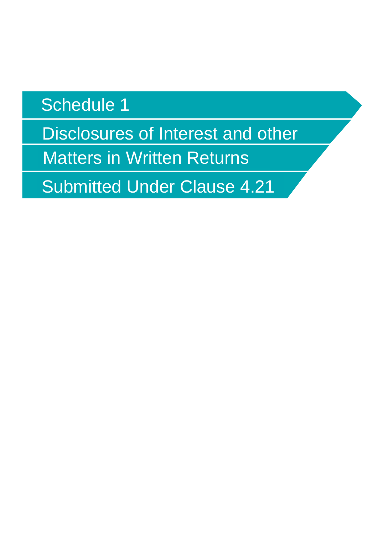## Schedule 1

Disclosures of Interest and other

Matters in Written Returns

Submitted Under Clause 4.21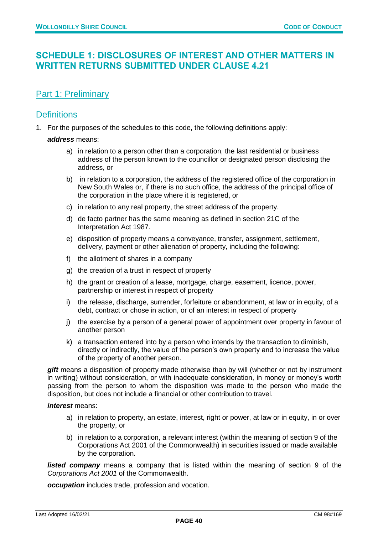#### <span id="page-39-0"></span>**SCHEDULE 1: DISCLOSURES OF INTEREST AND OTHER MATTERS IN WRITTEN RETURNS SUBMITTED UNDER CLAUSE 4.21**

#### Part 1: Preliminary

#### **Definitions**

1. For the purposes of the schedules to this code, the following definitions apply:

*address* means:

- a) in relation to a person other than a corporation, the last residential or business address of the person known to the councillor or designated person disclosing the address, or
- b) in relation to a corporation, the address of the registered office of the corporation in New South Wales or, if there is no such office, the address of the principal office of the corporation in the place where it is registered, or
- c) in relation to any real property, the street address of the property.
- d) de facto partner has the same meaning as defined in section 21C of the Interpretation Act 1987.
- e) disposition of property means a conveyance, transfer, assignment, settlement, delivery, payment or other alienation of property, including the following:
- f) the allotment of shares in a company
- g) the creation of a trust in respect of property
- h) the grant or creation of a lease, mortgage, charge, easement, licence, power, partnership or interest in respect of property
- i) the release, discharge, surrender, forfeiture or abandonment, at law or in equity, of a debt, contract or chose in action, or of an interest in respect of property
- j) the exercise by a person of a general power of appointment over property in favour of another person
- k) a transaction entered into by a person who intends by the transaction to diminish, directly or indirectly, the value of the person's own property and to increase the value of the property of another person.

*gift* means a disposition of property made otherwise than by will (whether or not by instrument in writing) without consideration, or with inadequate consideration, in money or money's worth passing from the person to whom the disposition was made to the person who made the disposition, but does not include a financial or other contribution to travel.

#### *interest* means:

- a) in relation to property, an estate, interest, right or power, at law or in equity, in or over the property, or
- b) in relation to a corporation, a relevant interest (within the meaning of section 9 of the Corporations Act 2001 of the Commonwealth) in securities issued or made available by the corporation.

**listed company** means a company that is listed within the meaning of section 9 of the *Corporations Act 2001* of the Commonwealth.

*occupation* includes trade, profession and vocation.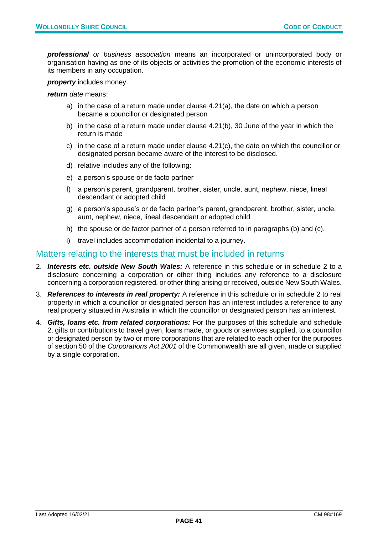*professional or business association* means an incorporated or unincorporated body or organisation having as one of its objects or activities the promotion of the economic interests of its members in any occupation.

*property* includes money.

*return date* means:

- a) in the case of a return made under clause 4.21(a), the date on which a person became a councillor or designated person
- b) in the case of a return made under clause 4.21(b), 30 June of the year in which the return is made
- c) in the case of a return made under clause 4.21(c), the date on which the councillor or designated person became aware of the interest to be disclosed.
- d) relative includes any of the following:
- e) a person's spouse or de facto partner
- f) a person's parent, grandparent, brother, sister, uncle, aunt, nephew, niece, lineal descendant or adopted child
- g) a person's spouse's or de facto partner's parent, grandparent, brother, sister, uncle, aunt, nephew, niece, lineal descendant or adopted child
- h) the spouse or de factor partner of a person referred to in paragraphs (b) and (c).
- i) travel includes accommodation incidental to a journey.

#### Matters relating to the interests that must be included in returns

- 2. *Interests etc. outside New South Wales:* A reference in this schedule or in schedule 2 to a disclosure concerning a corporation or other thing includes any reference to a disclosure concerning a corporation registered, or other thing arising or received, outside New South Wales.
- 3. *References to interests in real property:* A reference in this schedule or in schedule 2 to real property in which a councillor or designated person has an interest includes a reference to any real property situated in Australia in which the councillor or designated person has an interest.
- 4. *Gifts, loans etc. from related corporations:* For the purposes of this schedule and schedule 2, gifts or contributions to travel given, loans made, or goods or services supplied, to a councillor or designated person by two or more corporations that are related to each other for the purposes of section 50 of the *Corporations Act 2001* of the Commonwealth are all given, made or supplied by a single corporation.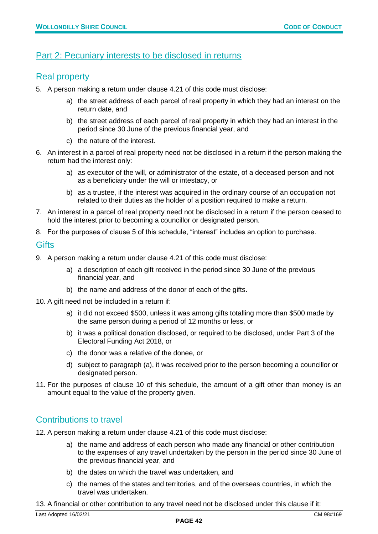#### Part 2: Pecuniary interests to be disclosed in returns

#### Real property

- 5. A person making a return under clause 4.21 of this code must disclose:
	- a) the street address of each parcel of real property in which they had an interest on the return date, and
	- b) the street address of each parcel of real property in which they had an interest in the period since 30 June of the previous financial year, and
	- c) the nature of the interest.
- 6. An interest in a parcel of real property need not be disclosed in a return if the person making the return had the interest only:
	- a) as executor of the will, or administrator of the estate, of a deceased person and not as a beneficiary under the will or intestacy, or
	- b) as a trustee, if the interest was acquired in the ordinary course of an occupation not related to their duties as the holder of a position required to make a return.
- 7. An interest in a parcel of real property need not be disclosed in a return if the person ceased to hold the interest prior to becoming a councillor or designated person.
- 8. For the purposes of clause 5 of this schedule, "interest" includes an option to purchase.

#### **Gifts**

- 9. A person making a return under clause 4.21 of this code must disclose:
	- a) a description of each gift received in the period since 30 June of the previous financial year, and
	- b) the name and address of the donor of each of the gifts.
- 10. A gift need not be included in a return if:
	- a) it did not exceed \$500, unless it was among gifts totalling more than \$500 made by the same person during a period of 12 months or less, or
	- b) it was a political donation disclosed, or required to be disclosed, under Part 3 of the Electoral Funding Act 2018, or
	- c) the donor was a relative of the donee, or
	- d) subject to paragraph (a), it was received prior to the person becoming a councillor or designated person.
- 11. For the purposes of clause 10 of this schedule, the amount of a gift other than money is an amount equal to the value of the property given.

#### Contributions to travel

- 12. A person making a return under clause 4.21 of this code must disclose:
	- a) the name and address of each person who made any financial or other contribution to the expenses of any travel undertaken by the person in the period since 30 June of the previous financial year, and
	- b) the dates on which the travel was undertaken, and
	- c) the names of the states and territories, and of the overseas countries, in which the travel was undertaken.
- 13. A financial or other contribution to any travel need not be disclosed under this clause if it: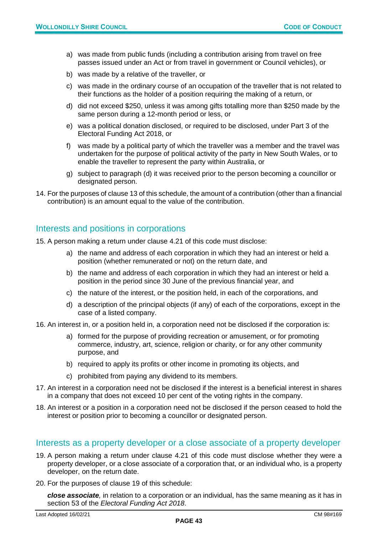- a) was made from public funds (including a contribution arising from travel on free passes issued under an Act or from travel in government or Council vehicles), or
- b) was made by a relative of the traveller, or
- c) was made in the ordinary course of an occupation of the traveller that is not related to their functions as the holder of a position requiring the making of a return, or
- d) did not exceed \$250, unless it was among gifts totalling more than \$250 made by the same person during a 12-month period or less, or
- e) was a political donation disclosed, or required to be disclosed, under Part 3 of the Electoral Funding Act 2018, or
- f) was made by a political party of which the traveller was a member and the travel was undertaken for the purpose of political activity of the party in New South Wales, or to enable the traveller to represent the party within Australia, or
- g) subject to paragraph (d) it was received prior to the person becoming a councillor or designated person.
- 14. For the purposes of clause 13 of this schedule, the amount of a contribution (other than a financial contribution) is an amount equal to the value of the contribution.

#### Interests and positions in corporations

- 15. A person making a return under clause 4.21 of this code must disclose:
	- a) the name and address of each corporation in which they had an interest or held a position (whether remunerated or not) on the return date, and
	- b) the name and address of each corporation in which they had an interest or held a position in the period since 30 June of the previous financial year, and
	- c) the nature of the interest, or the position held, in each of the corporations, and
	- d) a description of the principal objects (if any) of each of the corporations, except in the case of a listed company.
- 16. An interest in, or a position held in, a corporation need not be disclosed if the corporation is:
	- a) formed for the purpose of providing recreation or amusement, or for promoting commerce, industry, art, science, religion or charity, or for any other community purpose, and
	- b) required to apply its profits or other income in promoting its objects, and
	- c) prohibited from paying any dividend to its members.
- 17. An interest in a corporation need not be disclosed if the interest is a beneficial interest in shares in a company that does not exceed 10 per cent of the voting rights in the company.
- 18. An interest or a position in a corporation need not be disclosed if the person ceased to hold the interest or position prior to becoming a councillor or designated person.

#### Interests as a property developer or a close associate of a property developer

- 19. A person making a return under clause 4.21 of this code must disclose whether they were a property developer, or a close associate of a corporation that, or an individual who, is a property developer, on the return date.
- 20. For the purposes of clause 19 of this schedule:

*close associate,* in relation to a corporation or an individual, has the same meaning as it has in section 53 of the *Electoral Funding Act 2018*.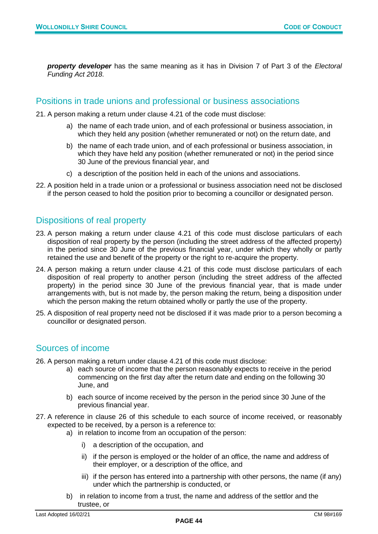*property developer* has the same meaning as it has in Division 7 of Part 3 of the *Electoral Funding Act 2018*.

#### Positions in trade unions and professional or business associations

- 21. A person making a return under clause 4.21 of the code must disclose:
	- a) the name of each trade union, and of each professional or business association, in which they held any position (whether remunerated or not) on the return date, and
	- b) the name of each trade union, and of each professional or business association, in which they have held any position (whether remunerated or not) in the period since 30 June of the previous financial year, and
	- c) a description of the position held in each of the unions and associations.
- 22. A position held in a trade union or a professional or business association need not be disclosed if the person ceased to hold the position prior to becoming a councillor or designated person.

#### Dispositions of real property

- 23. A person making a return under clause 4.21 of this code must disclose particulars of each disposition of real property by the person (including the street address of the affected property) in the period since 30 June of the previous financial year, under which they wholly or partly retained the use and benefit of the property or the right to re-acquire the property.
- 24. A person making a return under clause 4.21 of this code must disclose particulars of each disposition of real property to another person (including the street address of the affected property) in the period since 30 June of the previous financial year, that is made under arrangements with, but is not made by, the person making the return, being a disposition under which the person making the return obtained wholly or partly the use of the property.
- 25. A disposition of real property need not be disclosed if it was made prior to a person becoming a councillor or designated person.

#### Sources of income

- 26. A person making a return under clause 4.21 of this code must disclose:
	- a) each source of income that the person reasonably expects to receive in the period commencing on the first day after the return date and ending on the following 30 June, and
	- b) each source of income received by the person in the period since 30 June of the previous financial year.
- 27. A reference in clause 26 of this schedule to each source of income received, or reasonably expected to be received, by a person is a reference to:
	- a) in relation to income from an occupation of the person:
		- i) a description of the occupation, and
		- ii) if the person is employed or the holder of an office, the name and address of their employer, or a description of the office, and
		- iii) if the person has entered into a partnership with other persons, the name (if any) under which the partnership is conducted, or
	- b) in relation to income from a trust, the name and address of the settlor and the trustee, or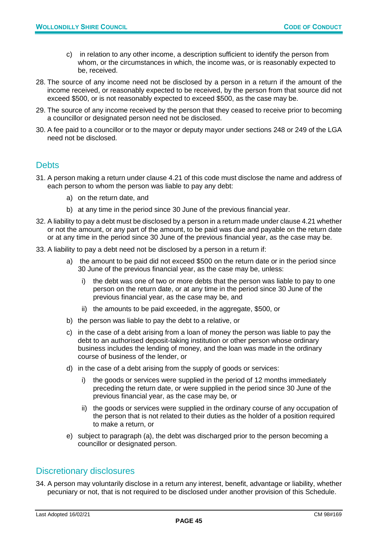- c) in relation to any other income, a description sufficient to identify the person from whom, or the circumstances in which, the income was, or is reasonably expected to be, received.
- 28. The source of any income need not be disclosed by a person in a return if the amount of the income received, or reasonably expected to be received, by the person from that source did not exceed \$500, or is not reasonably expected to exceed \$500, as the case may be.
- 29. The source of any income received by the person that they ceased to receive prior to becoming a councillor or designated person need not be disclosed.
- 30. A fee paid to a councillor or to the mayor or deputy mayor under sections 248 or 249 of the LGA need not be disclosed.

#### **Debts**

- 31. A person making a return under clause 4.21 of this code must disclose the name and address of each person to whom the person was liable to pay any debt:
	- a) on the return date, and
	- b) at any time in the period since 30 June of the previous financial year.
- 32. A liability to pay a debt must be disclosed by a person in a return made under clause 4.21 whether or not the amount, or any part of the amount, to be paid was due and payable on the return date or at any time in the period since 30 June of the previous financial year, as the case may be.
- 33. A liability to pay a debt need not be disclosed by a person in a return if:
	- a) the amount to be paid did not exceed \$500 on the return date or in the period since 30 June of the previous financial year, as the case may be, unless:
		- i) the debt was one of two or more debts that the person was liable to pay to one person on the return date, or at any time in the period since 30 June of the previous financial year, as the case may be, and
		- ii) the amounts to be paid exceeded, in the aggregate, \$500, or
	- b) the person was liable to pay the debt to a relative, or
	- c) in the case of a debt arising from a loan of money the person was liable to pay the debt to an authorised deposit-taking institution or other person whose ordinary business includes the lending of money, and the loan was made in the ordinary course of business of the lender, or
	- d) in the case of a debt arising from the supply of goods or services:
		- i) the goods or services were supplied in the period of 12 months immediately preceding the return date, or were supplied in the period since 30 June of the previous financial year, as the case may be, or
		- ii) the goods or services were supplied in the ordinary course of any occupation of the person that is not related to their duties as the holder of a position required to make a return, or
	- e) subject to paragraph (a), the debt was discharged prior to the person becoming a councillor or designated person.

#### Discretionary disclosures

34. A person may voluntarily disclose in a return any interest, benefit, advantage or liability, whether pecuniary or not, that is not required to be disclosed under another provision of this Schedule.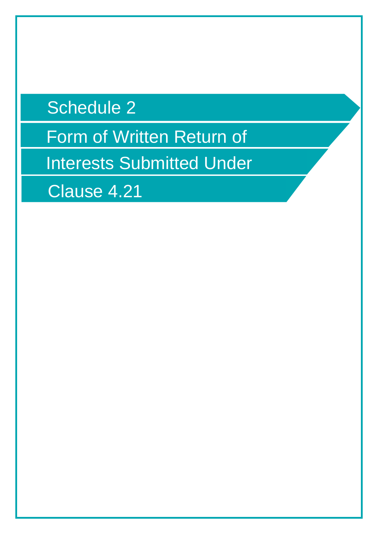## Schedule 2

Form of Written Return of

Interests Submitted Under

Clause 4.21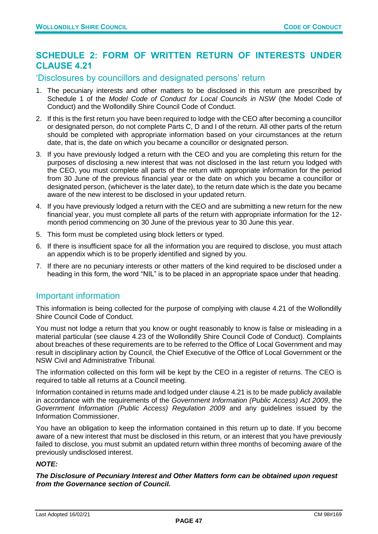#### <span id="page-46-0"></span>**SCHEDULE 2: FORM OF WRITTEN RETURN OF INTERESTS UNDER CLAUSE 4.21**

#### 'Disclosures by councillors and designated persons' return

- 1. The pecuniary interests and other matters to be disclosed in this return are prescribed by Schedule 1 of the *Model Code of Conduct for Local Councils in NSW* (the Model Code of Conduct) and the Wollondilly Shire Council Code of Conduct.
- 2. If this is the first return you have been required to lodge with the CEO after becoming a councillor or designated person, do not complete Parts C, D and I of the return. All other parts of the return should be completed with appropriate information based on your circumstances at the return date, that is, the date on which you became a councillor or designated person.
- 3. If you have previously lodged a return with the CEO and you are completing this return for the purposes of disclosing a new interest that was not disclosed in the last return you lodged with the CEO, you must complete all parts of the return with appropriate information for the period from 30 June of the previous financial year or the date on which you became a councillor or designated person, (whichever is the later date), to the return date which is the date you became aware of the new interest to be disclosed in your updated return.
- 4. If you have previously lodged a return with the CEO and are submitting a new return for the new financial year, you must complete all parts of the return with appropriate information for the 12 month period commencing on 30 June of the previous year to 30 June this year.
- 5. This form must be completed using block letters or typed.
- 6. If there is insufficient space for all the information you are required to disclose, you must attach an appendix which is to be properly identified and signed by you.
- 7. If there are no pecuniary interests or other matters of the kind required to be disclosed under a heading in this form, the word "NIL" is to be placed in an appropriate space under that heading.

#### Important information

This information is being collected for the purpose of complying with clause 4.21 of the Wollondilly Shire Council Code of Conduct.

You must not lodge a return that you know or ought reasonably to know is false or misleading in a material particular (see clause 4.23 of the Wollondilly Shire Council Code of Conduct). Complaints about breaches of these requirements are to be referred to the Office of Local Government and may result in disciplinary action by Council, the Chief Executive of the Office of Local Government or the NSW Civil and Administrative Tribunal.

The information collected on this form will be kept by the CEO in a register of returns. The CEO is required to table all returns at a Council meeting.

Information contained in returns made and lodged under clause 4.21 is to be made publicly available in accordance with the requirements of the *Government Information (Public Access) Act 2009*, the *Government Information (Public Access) Regulation 2009* and any guidelines issued by the Information Commissioner.

You have an obligation to keep the information contained in this return up to date. If you become aware of a new interest that must be disclosed in this return, or an interest that you have previously failed to disclose, you must submit an updated return within three months of becoming aware of the previously undisclosed interest.

#### *NOTE:*

*The Disclosure of Pecuniary Interest and Other Matters form can be obtained upon request from the Governance section of Council.*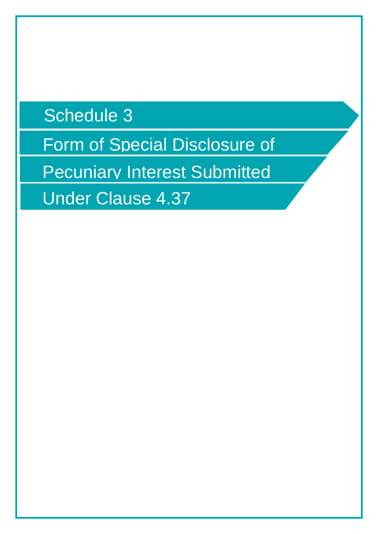Schedule 3

Form of Special Disclosure of

Pecuniary Interest Submitted

Under Clause 4.37